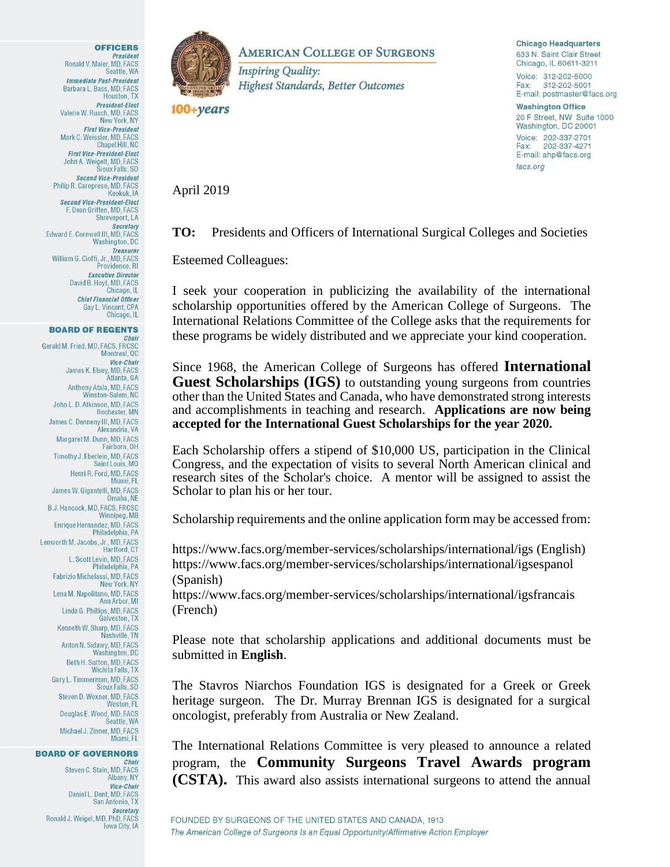

## **BOARD OF REGENTS**

Chair Gerald M. Fried, MD, FACS, FRCSC<br>Montreal, QC Vice-Chair James K. Elsey, MD, FACS Atlanta, GA Anthony Atala, MD, FACS Winston-Salem, NC John L. D. Atkinson, MD, FACS Rochester, MN James C. Denneny III, MD, FACS Alexandria, VA Margaret M. Dunn, MD, FACS Fairborn, OH Timothy J. Eberlein, MD, FACS Saint Louis, MO Henri R. Ford, MD, FACS Miami, FL James W. Gigantelli, MD, FACS Omaha NF B.J. Hancock, MD, FACS, FRCSC Winnipeg, MB Enrique Hernandez, MD, FACS Philadelphia, PA Lenworth M. Jacobs, Jr., MD, FACS Hartford, CT L. Scott Levin, MD, FACS Philadelphia, PA Fabrizio Michelassi, MD, FACS New York, NY Lena M. Napolitano, MD, FACS Ann Arbor, MI Linda G. Phillips, MD, FACS Galveston, TX Kenneth W. Sharp, MD, FACS Nashville, TN Anton N. Sidawy, MD, FACS Washington, DC Beth H. Sutton, MD, FACS Wichita Falls, TX Gary L. Timmerman, MD, FACS Sioux Falls, SD Steven D. Wexner, MD, FACS Weston, FL Douglas E. Wood, MD, FACS Seattle, WA Michael J. Zinner, MD, FACS Miami, FL

## **BOARD OF GOVERNORS**

Chair Steven C. Stain, MD, FACS Albany, NY **Vice-Chair** Daniel L. Dent, MD, FACS San Antonio, TX Secretary<br>Ronald J. Weigel, MD, PhD, FACS Iowa City, IA



**AMERICAN COLLEGE OF SURGEONS** 

**Inspiring Quality: Highest Standards, Better Outcomes** 

 $100 + \gamma ears$ 

**Chicago Headquarters** 633 N. Saint Clair Street Chicago, IL 60611-3211

Voice: 312-202-5000 Fax: 312-202-5001 E-mail: postmaster@facs.org

**Washington Office** 20 F Street, NW Suite 1000 Washington, DC 20001 Voice: 202-337-2701 Fax: 202-337-4271 E-mail: ahp@facs.org facs.org

April 2019

**TO:** Presidents and Officers of International Surgical Colleges and Societies

Esteemed Colleagues:

I seek your cooperation in publicizing the availability of the international scholarship opportunities offered by the American College of Surgeons. The International Relations Committee of the College asks that the requirements for these programs be widely distributed and we appreciate your kind cooperation.

Since 1968, the American College of Surgeons has offered **International Guest Scholarships (IGS)** to outstanding young surgeons from countries other than the United States and Canada, who have demonstrated strong interests and accomplishments in teaching and research. **Applications are now being accepted for the International Guest Scholarships for the year 2020.**

Each Scholarship offers a stipend of \$10,000 US, participation in the Clinical Congress, and the expectation of visits to several North American clinical and research sites of the Scholar's choice. A mentor will be assigned to assist the Scholar to plan his or her tour.

Scholarship requirements and the online application form may be accessed from:

https://www.facs.org/member-services/scholarships/international/igs (English) https://www.facs.org/member-services/scholarships/international/igsespanol (Spanish)

https://www.facs.org/member-services/scholarships/international/igsfrancais (French)

Please note that scholarship applications and additional documents must be submitted in **English**.

The Stavros Niarchos Foundation IGS is designated for a Greek or Greek heritage surgeon. The Dr. Murray Brennan IGS is designated for a surgical oncologist, preferably from Australia or New Zealand.

The International Relations Committee is very pleased to announce a related program, the **Community Surgeons Travel Awards program (CSTA).** This award also assists international surgeons to attend the annual